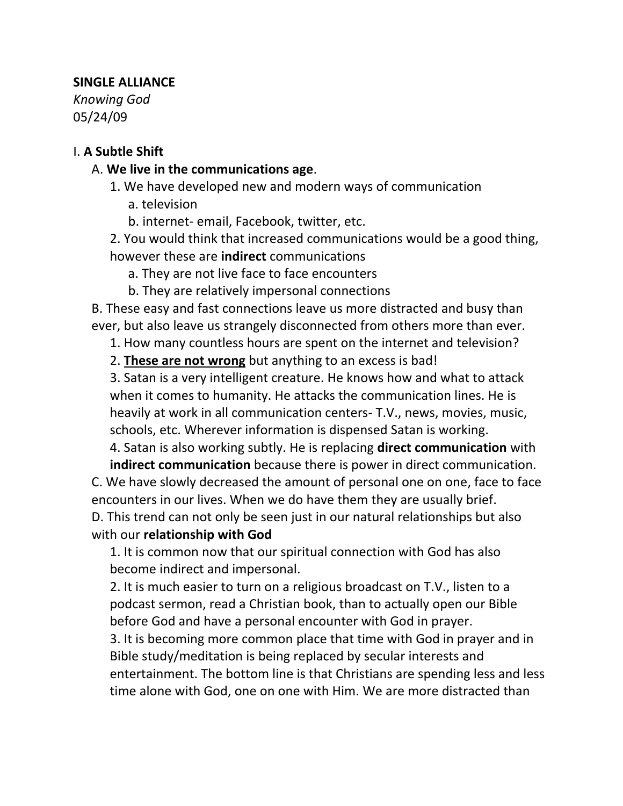## **SINGLE ALLIANCE**

*Knowing God* 05/24/09

#### I. **A Subtle Shift**

### A. **We live in the communications age**.

1. We have developed new and modern ways of communication

- a. television
- b. internet- email, Facebook, twitter, etc.

2. You would think that increased communications would be a good thing, however these are **indirect** communications

a. They are not live face to face encounters

b. They are relatively impersonal connections

B. These easy and fast connections leave us more distracted and busy than ever, but also leave us strangely disconnected from others more than ever.

1. How many countless hours are spent on the internet and television?

2. **These are not wrong** but anything to an excess is bad!

3. Satan is a very intelligent creature. He knows how and what to attack when it comes to humanity. He attacks the communication lines. He is heavily at work in all communication centers- T.V., news, movies, music, schools, etc. Wherever information is dispensed Satan is working.

4. Satan is also working subtly. He is replacing **direct communication** with **indirect communication** because there is power in direct communication.

C. We have slowly decreased the amount of personal one on one, face to face encounters in our lives. When we do have them they are usually brief.

D. This trend can not only be seen just in our natural relationships but also with our **relationship with God**

1. It is common now that our spiritual connection with God has also become indirect and impersonal.

2. It is much easier to turn on a religious broadcast on T.V., listen to a podcast sermon, read a Christian book, than to actually open our Bible before God and have a personal encounter with God in prayer.

3. It is becoming more common place that time with God in prayer and in Bible study/meditation is being replaced by secular interests and entertainment. The bottom line is that Christians are spending less and less time alone with God, one on one with Him. We are more distracted than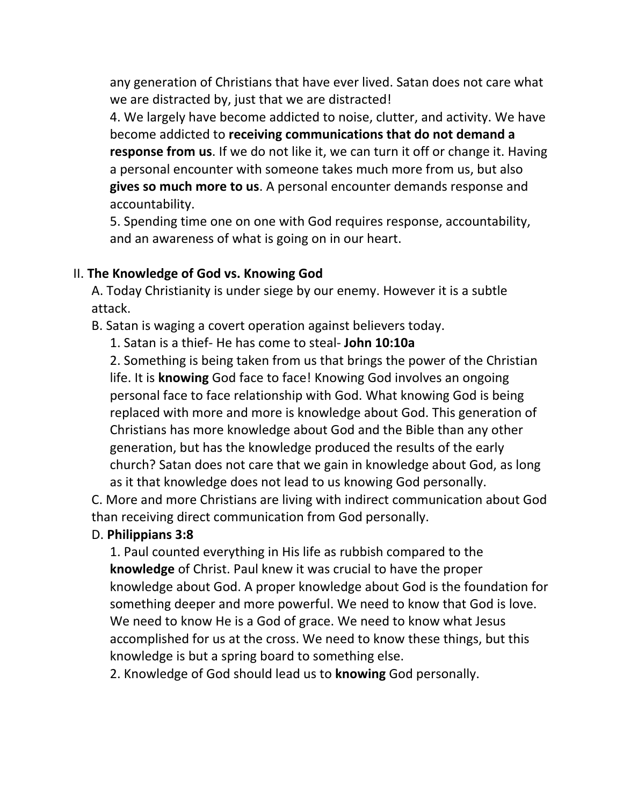any generation of Christians that have ever lived. Satan does not care what we are distracted by, just that we are distracted!

4. We largely have become addicted to noise, clutter, and activity. We have become addicted to **receiving communications that do not demand a response from us**. If we do not like it, we can turn it off or change it. Having a personal encounter with someone takes much more from us, but also **gives so much more to us**. A personal encounter demands response and accountability.

5. Spending time one on one with God requires response, accountability, and an awareness of what is going on in our heart.

### II. **The Knowledge of God vs. Knowing God**

A. Today Christianity is under siege by our enemy. However it is a subtle attack.

B. Satan is waging a covert operation against believers today.

1. Satan is a thief- He has come to steal- **John 10:10a**

2. Something is being taken from us that brings the power of the Christian life. It is **knowing** God face to face! Knowing God involves an ongoing personal face to face relationship with God. What knowing God is being replaced with more and more is knowledge about God. This generation of Christians has more knowledge about God and the Bible than any other generation, but has the knowledge produced the results of the early church? Satan does not care that we gain in knowledge about God, as long as it that knowledge does not lead to us knowing God personally.

C. More and more Christians are living with indirect communication about God than receiving direct communication from God personally.

## D. **Philippians 3:8**

1. Paul counted everything in His life as rubbish compared to the **knowledge** of Christ. Paul knew it was crucial to have the proper knowledge about God. A proper knowledge about God is the foundation for something deeper and more powerful. We need to know that God is love. We need to know He is a God of grace. We need to know what Jesus accomplished for us at the cross. We need to know these things, but this knowledge is but a spring board to something else.

2. Knowledge of God should lead us to **knowing** God personally.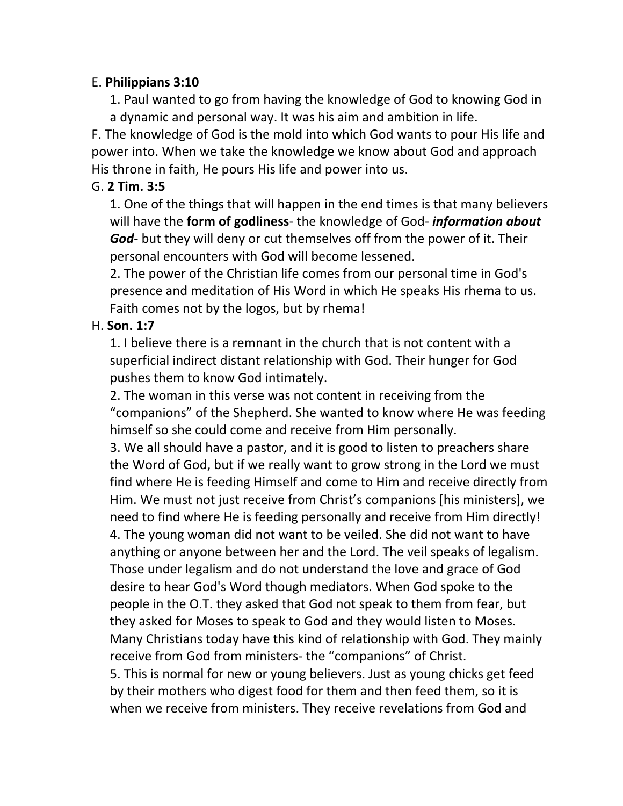## E. **Philippians 3:10**

1. Paul wanted to go from having the knowledge of God to knowing God in a dynamic and personal way. It was his aim and ambition in life.

F. The knowledge of God is the mold into which God wants to pour His life and power into. When we take the knowledge we know about God and approach His throne in faith, He pours His life and power into us.

# G. **2 Tim. 3:5**

1. One of the things that will happen in the end times is that many believers will have the **form of godliness**- the knowledge of God- *information about God*- but they will deny or cut themselves off from the power of it. Their personal encounters with God will become lessened.

2. The power of the Christian life comes from our personal time in God's presence and meditation of His Word in which He speaks His rhema to us. Faith comes not by the logos, but by rhema!

## H. **Son. 1:7**

1. I believe there is a remnant in the church that is not content with a superficial indirect distant relationship with God. Their hunger for God pushes them to know God intimately.

2. The woman in this verse was not content in receiving from the "companions" of the Shepherd. She wanted to know where He was feeding himself so she could come and receive from Him personally.

3. We all should have a pastor, and it is good to listen to preachers share the Word of God, but if we really want to grow strong in the Lord we must find where He is feeding Himself and come to Him and receive directly from Him. We must not just receive from Christ's companions [his ministers], we need to find where He is feeding personally and receive from Him directly! 4. The young woman did not want to be veiled. She did not want to have anything or anyone between her and the Lord. The veil speaks of legalism. Those under legalism and do not understand the love and grace of God desire to hear God's Word though mediators. When God spoke to the people in the O.T. they asked that God not speak to them from fear, but they asked for Moses to speak to God and they would listen to Moses. Many Christians today have this kind of relationship with God. They mainly receive from God from ministers- the "companions" of Christ. 5. This is normal for new or young believers. Just as young chicks get feed by their mothers who digest food for them and then feed them, so it is when we receive from ministers. They receive revelations from God and